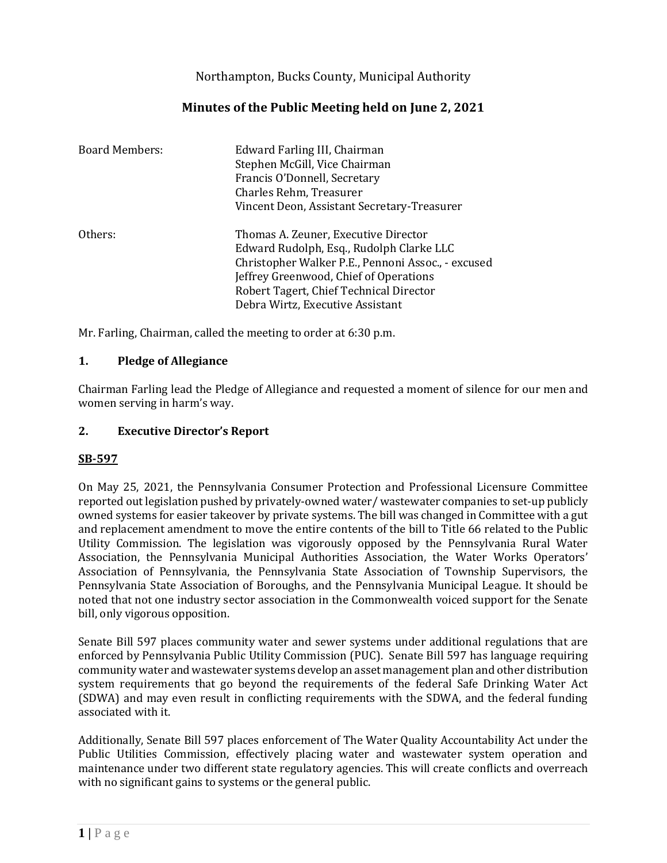Northampton, Bucks County, Municipal Authority

# **Minutes of the Public Meeting held on June 2, 2021**

| <b>Board Members:</b> | Edward Farling III, Chairman<br>Stephen McGill, Vice Chairman<br>Francis O'Donnell, Secretary<br>Charles Rehm, Treasurer<br>Vincent Deon, Assistant Secretary-Treasurer                                                     |
|-----------------------|-----------------------------------------------------------------------------------------------------------------------------------------------------------------------------------------------------------------------------|
| Others:               | Thomas A. Zeuner, Executive Director<br>Edward Rudolph, Esq., Rudolph Clarke LLC<br>Christopher Walker P.E., Pennoni Assoc., - excused<br>Jeffrey Greenwood, Chief of Operations<br>Robert Tagert, Chief Technical Director |
|                       | Debra Wirtz, Executive Assistant                                                                                                                                                                                            |

Mr. Farling, Chairman, called the meeting to order at 6:30 p.m.

#### **1. Pledge of Allegiance**

Chairman Farling lead the Pledge of Allegiance and requested a moment of silence for our men and women serving in harm's way.

#### **2. Executive Director's Report**

#### **SB-597**

On May 25, 2021, the Pennsylvania Consumer Protection and Professional Licensure Committee reported out legislation pushed by privately-owned water/ wastewater companies to set-up publicly owned systems for easier takeover by private systems. The bill was changed in Committee with a gut and replacement amendment to move the entire contents of the bill to Title 66 related to the Public Utility Commission. The legislation was vigorously opposed by the Pennsylvania Rural Water Association, the Pennsylvania Municipal Authorities Association, the Water Works Operators' Association of Pennsylvania, the Pennsylvania State Association of Township Supervisors, the Pennsylvania State Association of Boroughs, and the Pennsylvania Municipal League. It should be noted that not one industry sector association in the Commonwealth voiced support for the Senate bill, only vigorous opposition.

Senate Bill 597 places community water and sewer systems under additional regulations that are enforced by Pennsylvania Public Utility Commission (PUC). Senate Bill 597 has language requiring community water and wastewater systems develop an asset management plan and other distribution system requirements that go beyond the requirements of the federal Safe Drinking Water Act (SDWA) and may even result in conflicting requirements with the SDWA, and the federal funding associated with it.

Additionally, Senate Bill 597 places enforcement of The Water Quality Accountability Act under the Public Utilities Commission, effectively placing water and wastewater system operation and maintenance under two different state regulatory agencies. This will create conflicts and overreach with no significant gains to systems or the general public.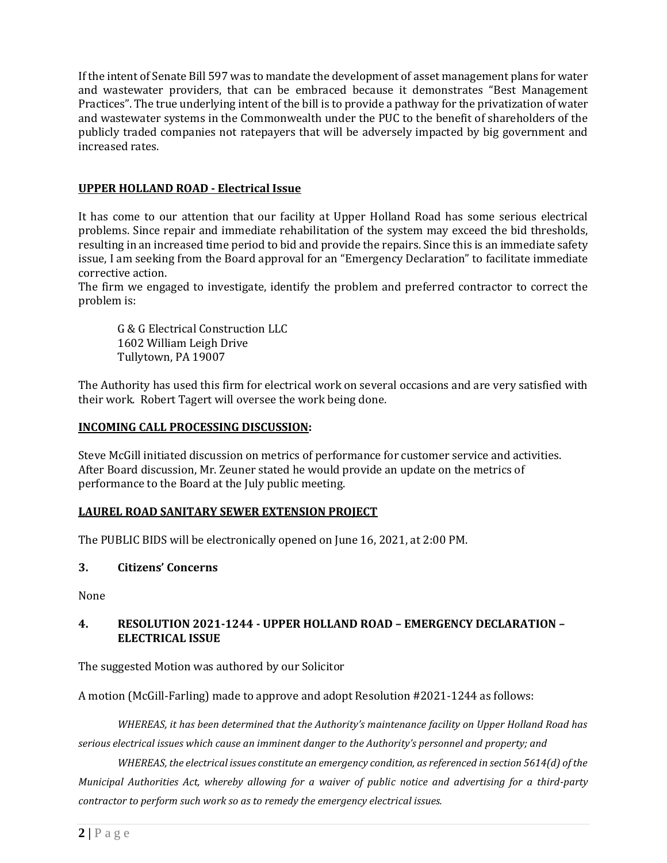If the intent of Senate Bill 597 was to mandate the development of asset management plans for water and wastewater providers, that can be embraced because it demonstrates "Best Management Practices". The true underlying intent of the bill is to provide a pathway for the privatization of water and wastewater systems in the Commonwealth under the PUC to the benefit of shareholders of the publicly traded companies not ratepayers that will be adversely impacted by big government and increased rates.

### **UPPER HOLLAND ROAD - Electrical Issue**

It has come to our attention that our facility at Upper Holland Road has some serious electrical problems. Since repair and immediate rehabilitation of the system may exceed the bid thresholds, resulting in an increased time period to bid and provide the repairs. Since this is an immediate safety issue, I am seeking from the Board approval for an "Emergency Declaration" to facilitate immediate corrective action.

The firm we engaged to investigate, identify the problem and preferred contractor to correct the problem is:

G & G Electrical Construction LLC 1602 William Leigh Drive Tullytown, PA 19007

The Authority has used this firm for electrical work on several occasions and are very satisfied with their work. Robert Tagert will oversee the work being done.

#### **INCOMING CALL PROCESSING DISCUSSION:**

Steve McGill initiated discussion on metrics of performance for customer service and activities. After Board discussion, Mr. Zeuner stated he would provide an update on the metrics of performance to the Board at the July public meeting.

#### **LAUREL ROAD SANITARY SEWER EXTENSION PROJECT**

The PUBLIC BIDS will be electronically opened on June 16, 2021, at 2:00 PM.

#### **3. Citizens' Concerns**

None

#### **4. RESOLUTION 2021-1244 - UPPER HOLLAND ROAD – EMERGENCY DECLARATION – ELECTRICAL ISSUE**

The suggested Motion was authored by our Solicitor

A motion (McGill-Farling) made to approve and adopt Resolution #2021-1244 as follows:

*WHEREAS, it has been determined that the Authority's maintenance facility on Upper Holland Road has serious electrical issues which cause an imminent danger to the Authority's personnel and property; and*

*WHEREAS, the electrical issues constitute an emergency condition, as referenced in section 5614(d) of the Municipal Authorities Act, whereby allowing for a waiver of public notice and advertising for a third-party contractor to perform such work so as to remedy the emergency electrical issues.*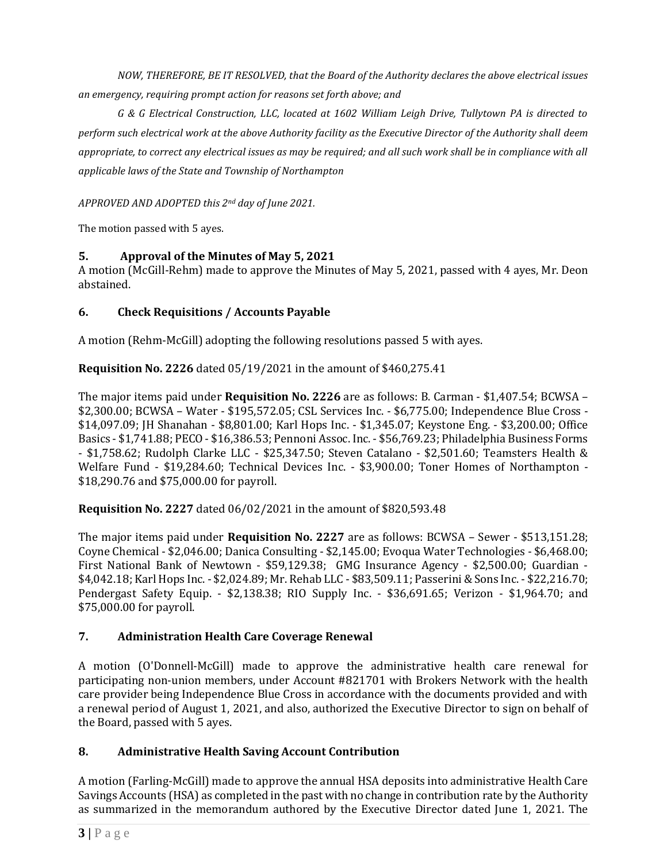*NOW, THEREFORE, BE IT RESOLVED, that the Board of the Authority declares the above electrical issues an emergency, requiring prompt action for reasons set forth above; and*

*G & G Electrical Construction, LLC, located at 1602 William Leigh Drive, Tullytown PA is directed to perform such electrical work at the above Authority facility as the Executive Director of the Authority shall deem*  appropriate, to correct any electrical issues as may be required; and all such work shall be in compliance with all *applicable laws of the State and Township of Northampton*

*APPROVED AND ADOPTED this 2nd day of June 2021.*

The motion passed with 5 ayes.

## **5. Approval of the Minutes of May 5, 2021**

A motion (McGill-Rehm) made to approve the Minutes of May 5, 2021, passed with 4 ayes, Mr. Deon abstained.

# **6. Check Requisitions / Accounts Payable**

A motion (Rehm-McGill) adopting the following resolutions passed 5 with ayes.

**Requisition No. 2226** dated 05/19/2021 in the amount of \$460,275.41

The major items paid under **Requisition No. 2226** are as follows: B. Carman - \$1,407.54; BCWSA – \$2,300.00; BCWSA – Water - \$195,572.05; CSL Services Inc. - \$6,775.00; Independence Blue Cross - \$14,097.09; JH Shanahan - \$8,801.00; Karl Hops Inc. - \$1,345.07; Keystone Eng. - \$3,200.00; Office Basics - \$1,741.88; PECO - \$16,386.53; Pennoni Assoc. Inc. - \$56,769.23; Philadelphia Business Forms - \$1,758.62; Rudolph Clarke LLC - \$25,347.50; Steven Catalano - \$2,501.60; Teamsters Health & Welfare Fund - \$19,284.60; Technical Devices Inc. - \$3,900.00; Toner Homes of Northampton - \$18,290.76 and \$75,000.00 for payroll.

**Requisition No. 2227** dated 06/02/2021 in the amount of \$820,593.48

The major items paid under **Requisition No. 2227** are as follows: BCWSA – Sewer - \$513,151.28; Coyne Chemical - \$2,046.00; Danica Consulting - \$2,145.00; Evoqua Water Technologies - \$6,468.00; First National Bank of Newtown - \$59,129.38; GMG Insurance Agency - \$2,500.00; Guardian - \$4,042.18; Karl Hops Inc. - \$2,024.89; Mr. Rehab LLC - \$83,509.11; Passerini & Sons Inc. - \$22,216.70; Pendergast Safety Equip. - \$2,138.38; RIO Supply Inc. - \$36,691.65; Verizon - \$1,964.70; and \$75,000.00 for payroll.

## **7. Administration Health Care Coverage Renewal**

A motion (O'Donnell-McGill) made to approve the administrative health care renewal for participating non-union members, under Account #821701 with Brokers Network with the health care provider being Independence Blue Cross in accordance with the documents provided and with a renewal period of August 1, 2021, and also, authorized the Executive Director to sign on behalf of the Board, passed with 5 ayes.

## **8. Administrative Health Saving Account Contribution**

A motion (Farling-McGill) made to approve the annual HSA deposits into administrative Health Care Savings Accounts (HSA) as completed in the past with no change in contribution rate by the Authority as summarized in the memorandum authored by the Executive Director dated June 1, 2021. The